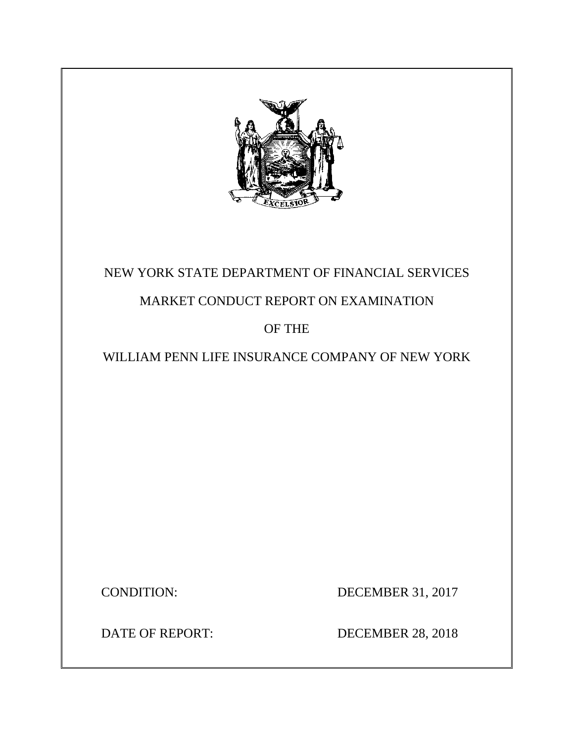

# NEW YORK STATE DEPARTMENT OF FINANCIAL SERVICES

# MARKET CONDUCT REPORT ON EXAMINATION

# OF THE

# WILLIAM PENN LIFE INSURANCE COMPANY OF NEW YORK

CONDITION: DECEMBER 31, 2017

DATE OF REPORT: DECEMBER 28, 2018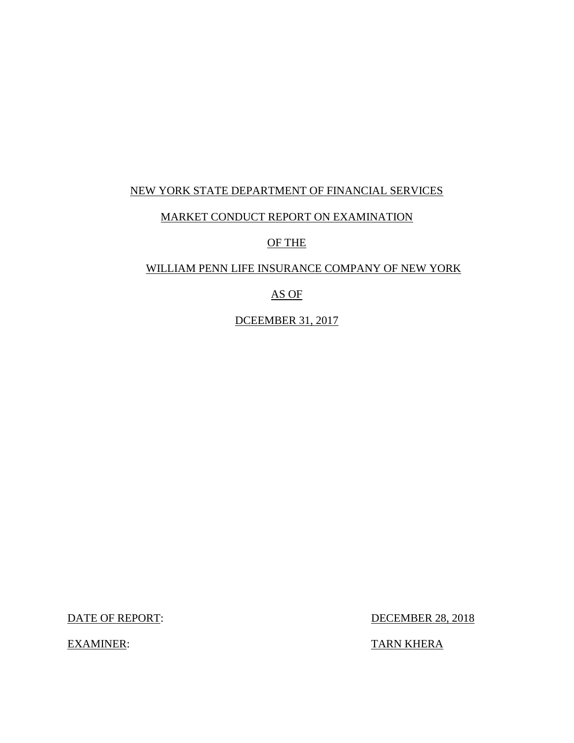## NEW YORK STATE DEPARTMENT OF FINANCIAL SERVICES

## MARKET CONDUCT REPORT ON EXAMINATION

OF THE

### WILLIAM PENN LIFE INSURANCE COMPANY OF NEW YORK

## AS OF

DCEEMBER 31, 2017

DATE OF REPORT: DECEMBER 28, 2018

EXAMINER: TARN KHERA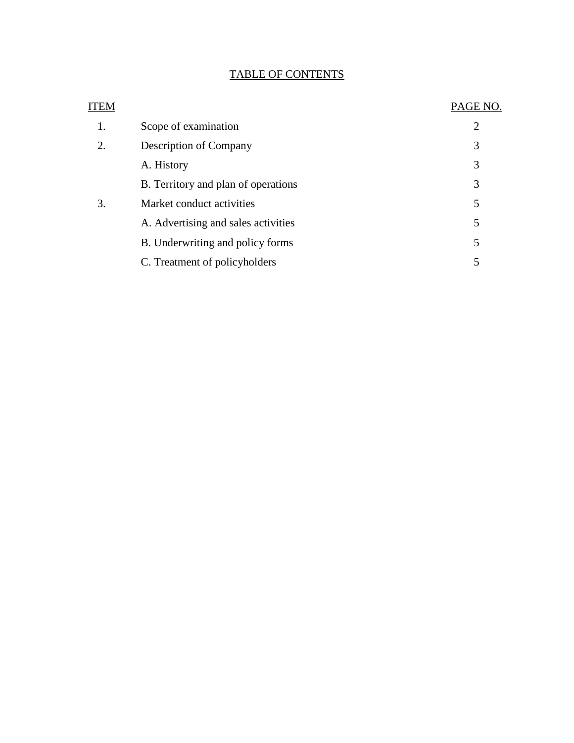## TABLE OF CONTENTS

| ITEM |                                     | PAGE NO. |
|------|-------------------------------------|----------|
| 1.   | Scope of examination                | 2        |
| 2.   | <b>Description of Company</b>       | 3        |
|      | A. History                          | 3        |
|      | B. Territory and plan of operations | 3        |
| 3.   | Market conduct activities           | 5        |
|      | A. Advertising and sales activities | 5        |
|      | B. Underwriting and policy forms    | 5        |
|      | C. Treatment of policyholders       | 5        |
|      |                                     |          |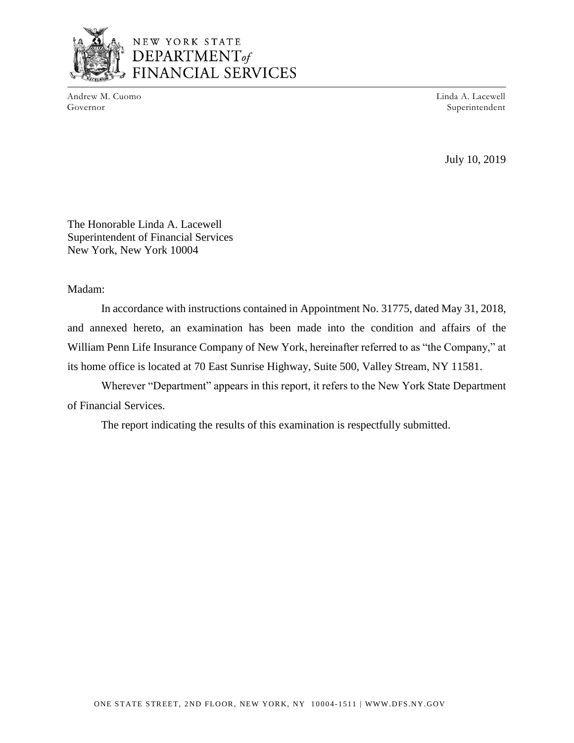

## NEW YORK STATE DEPARTMENT<sub>of</sub> FINANCIAL SERVICES

Andrew M. Cuomo Governor

Linda A. Lacewell Superintendent

July 10, 2019

The Honorable Linda A. Lacewell Superintendent of Financial Services New York, New York 10004

Madam:

In accordance with instructions contained in Appointment No. 31775, dated May 31, 2018, and annexed hereto, an examination has been made into the condition and affairs of the William Penn Life Insurance Company of New York, hereinafter referred to as "the Company," at its home office is located at 70 East Sunrise Highway, Suite 500, Valley Stream, NY 11581.

Wherever "Department" appears in this report, it refers to the New York State Department of Financial Services.

The report indicating the results of this examination is respectfully submitted.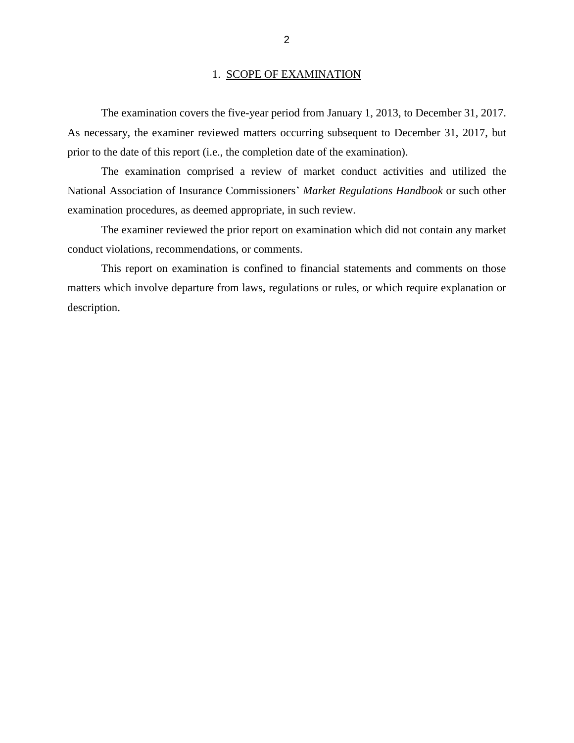#### 1. SCOPE OF EXAMINATION

The examination covers the five-year period from January 1, 2013, to December 31, 2017. As necessary, the examiner reviewed matters occurring subsequent to December 31, 2017, but prior to the date of this report (i.e., the completion date of the examination).

The examination comprised a review of market conduct activities and utilized the National Association of Insurance Commissioners' *Market Regulations Handbook* or such other examination procedures, as deemed appropriate, in such review.

The examiner reviewed the prior report on examination which did not contain any market conduct violations, recommendations, or comments.

This report on examination is confined to financial statements and comments on those matters which involve departure from laws, regulations or rules, or which require explanation or description.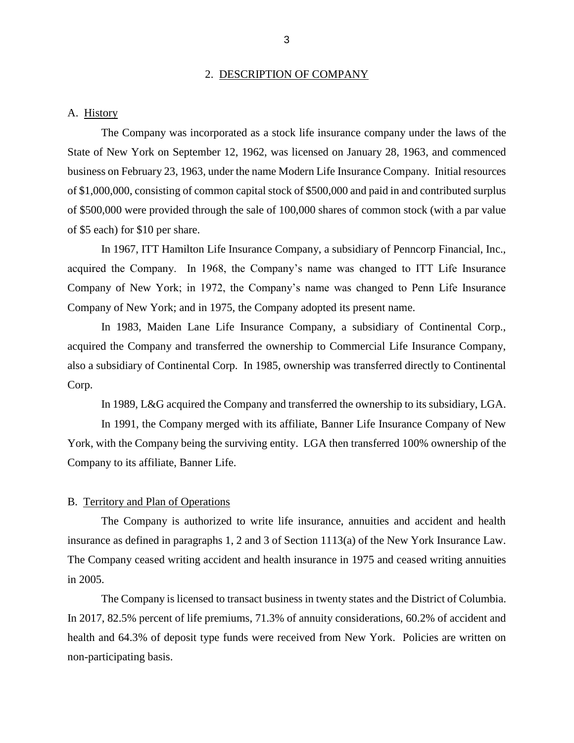#### 2. DESCRIPTION OF COMPANY

#### A. History

The Company was incorporated as a stock life insurance company under the laws of the State of New York on September 12, 1962, was licensed on January 28, 1963, and commenced business on February 23, 1963, under the name Modern Life Insurance Company. Initial resources of \$1,000,000, consisting of common capital stock of \$500,000 and paid in and contributed surplus of \$500,000 were provided through the sale of 100,000 shares of common stock (with a par value of \$5 each) for \$10 per share.

In 1967, ITT Hamilton Life Insurance Company, a subsidiary of Penncorp Financial, Inc., acquired the Company. In 1968, the Company's name was changed to ITT Life Insurance Company of New York; in 1972, the Company's name was changed to Penn Life Insurance Company of New York; and in 1975, the Company adopted its present name.

In 1983, Maiden Lane Life Insurance Company, a subsidiary of Continental Corp., acquired the Company and transferred the ownership to Commercial Life Insurance Company, also a subsidiary of Continental Corp. In 1985, ownership was transferred directly to Continental Corp.

In 1989, L&G acquired the Company and transferred the ownership to its subsidiary, LGA.

In 1991, the Company merged with its affiliate, Banner Life Insurance Company of New York, with the Company being the surviving entity. LGA then transferred 100% ownership of the Company to its affiliate, Banner Life.

#### B. Territory and Plan of Operations

The Company is authorized to write life insurance, annuities and accident and health insurance as defined in paragraphs 1, 2 and 3 of Section 1113(a) of the New York Insurance Law. The Company ceased writing accident and health insurance in 1975 and ceased writing annuities in 2005.

The Company is licensed to transact business in twenty states and the District of Columbia. In 2017, 82.5% percent of life premiums, 71.3% of annuity considerations, 60.2% of accident and health and 64.3% of deposit type funds were received from New York. Policies are written on non-participating basis.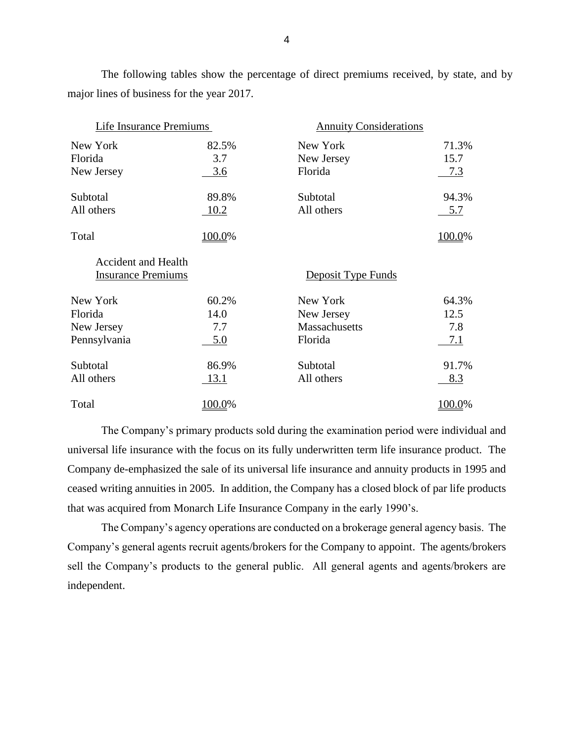The following tables show the percentage of direct premiums received, by state, and by major lines of business for the year 2017.

| Life Insurance Premiums                                 |             | <b>Annuity Considerations</b> |        |
|---------------------------------------------------------|-------------|-------------------------------|--------|
| New York                                                | 82.5%       | New York                      | 71.3%  |
| Florida                                                 | 3.7         | New Jersey                    | 15.7   |
| New Jersey                                              | 3.6         | Florida                       | 7.3    |
| Subtotal                                                | 89.8%       | Subtotal                      | 94.3%  |
| All others                                              | 10.2        | All others                    | 5.7    |
| Total                                                   | 100.0%      |                               | 100.0% |
| <b>Accident and Health</b><br><b>Insurance Premiums</b> |             | Deposit Type Funds            |        |
| New York                                                | 60.2%       | New York                      | 64.3%  |
| Florida                                                 | 14.0        | New Jersey                    | 12.5   |
| New Jersey                                              | 7.7         | Massachusetts                 | 7.8    |
| Pennsylvania                                            | 5.0         | Florida                       | 7.1    |
| Subtotal                                                | 86.9%       | Subtotal                      | 91.7%  |
| All others                                              | <u>13.1</u> | All others                    | 8.3    |
| Total                                                   | 100.0%      |                               | .00.0% |

The Company's primary products sold during the examination period were individual and universal life insurance with the focus on its fully underwritten term life insurance product. The Company de-emphasized the sale of its universal life insurance and annuity products in 1995 and ceased writing annuities in 2005. In addition, the Company has a closed block of par life products that was acquired from Monarch Life Insurance Company in the early 1990's.

The Company's agency operations are conducted on a brokerage general agency basis. The Company's general agents recruit agents/brokers for the Company to appoint. The agents/brokers sell the Company's products to the general public. All general agents and agents/brokers are independent.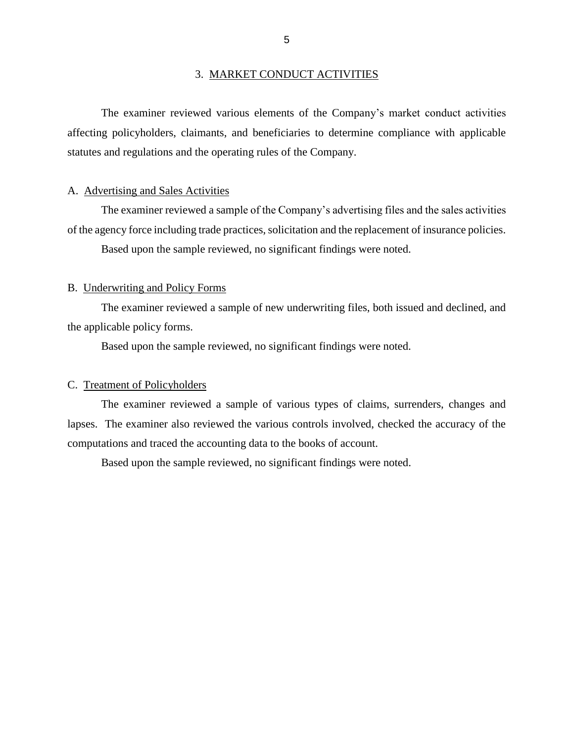#### 3. MARKET CONDUCT ACTIVITIES

The examiner reviewed various elements of the Company's market conduct activities affecting policyholders, claimants, and beneficiaries to determine compliance with applicable statutes and regulations and the operating rules of the Company.

#### A. Advertising and Sales Activities

The examiner reviewed a sample of the Company's advertising files and the sales activities of the agency force including trade practices, solicitation and the replacement of insurance policies. Based upon the sample reviewed, no significant findings were noted.

#### B. Underwriting and Policy Forms

The examiner reviewed a sample of new underwriting files, both issued and declined, and the applicable policy forms.

Based upon the sample reviewed, no significant findings were noted.

#### C. Treatment of Policyholders

The examiner reviewed a sample of various types of claims, surrenders, changes and lapses. The examiner also reviewed the various controls involved, checked the accuracy of the computations and traced the accounting data to the books of account.

Based upon the sample reviewed, no significant findings were noted.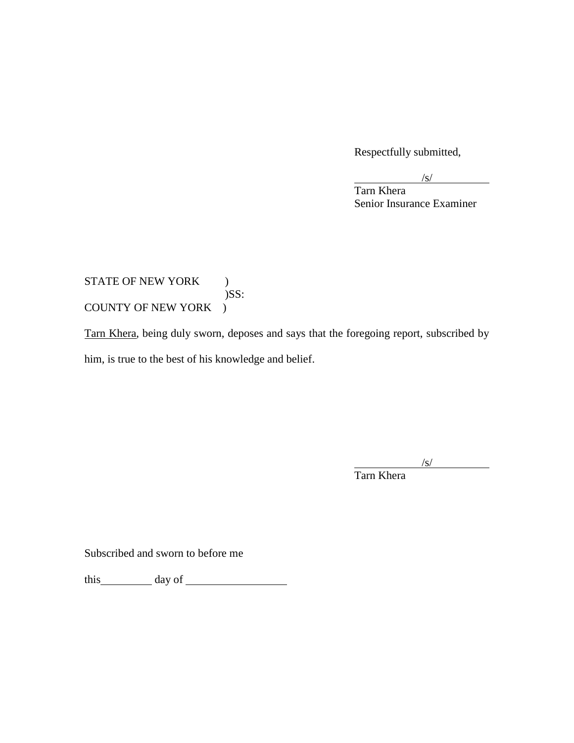Respectfully submitted,

 $\sqrt{s}$ /

Tarn Khera Senior Insurance Examiner

## STATE OF NEW YORK ) )SS: COUNTY OF NEW YORK )

Tarn Khera, being duly sworn, deposes and says that the foregoing report, subscribed by him, is true to the best of his knowledge and belief.

 $\sqrt{s}$ /

Tarn Khera

Subscribed and sworn to before me

this day of